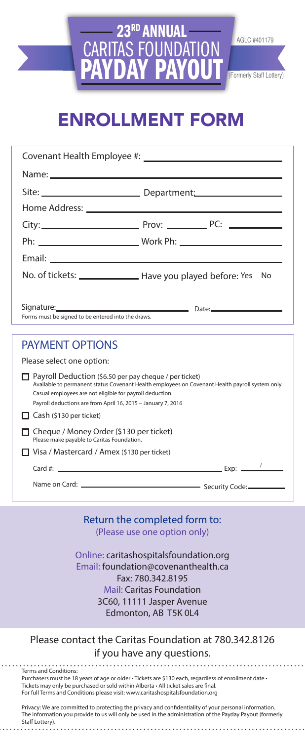# 23<sup>rd</sup> Annual<br>FAS FOUNDATION **CARITAS FOI** PAYDAY PAYOUT (Formerly Staff Lottery)

AGLC #401179

# ENROLLMENT FORM

| Covenant Health Employee #:                                                                                                                                                                                                                                                                  |  |    |  |  |
|----------------------------------------------------------------------------------------------------------------------------------------------------------------------------------------------------------------------------------------------------------------------------------------------|--|----|--|--|
|                                                                                                                                                                                                                                                                                              |  |    |  |  |
|                                                                                                                                                                                                                                                                                              |  |    |  |  |
|                                                                                                                                                                                                                                                                                              |  |    |  |  |
|                                                                                                                                                                                                                                                                                              |  |    |  |  |
|                                                                                                                                                                                                                                                                                              |  |    |  |  |
|                                                                                                                                                                                                                                                                                              |  |    |  |  |
| No. of tickets: ________________ Have you played before: Yes                                                                                                                                                                                                                                 |  | No |  |  |
|                                                                                                                                                                                                                                                                                              |  |    |  |  |
| Signature: <u>Communications and Communications</u> Date:                                                                                                                                                                                                                                    |  |    |  |  |
| Forms must be signed to be entered into the draws.                                                                                                                                                                                                                                           |  |    |  |  |
| <b>PAYMENT OPTIONS</b>                                                                                                                                                                                                                                                                       |  |    |  |  |
| Please select one option:                                                                                                                                                                                                                                                                    |  |    |  |  |
| $\Box$ Payroll Deduction (\$6.50 per pay cheque / per ticket)<br>Available to permanent status Covenant Health employees on Covenant Health payroll system only.<br>Casual employees are not eligible for payroll deduction.<br>Payroll deductions are from April 16, 2015 - January 7, 2016 |  |    |  |  |
| Cash (\$130 per ticket)                                                                                                                                                                                                                                                                      |  |    |  |  |
| □ Cheque / Money Order (\$130 per ticket)<br>Please make payable to Caritas Foundation.                                                                                                                                                                                                      |  |    |  |  |
| □ Visa / Mastercard / Amex (\$130 per ticket)                                                                                                                                                                                                                                                |  |    |  |  |
| Card #: $\frac{1}{2}$ Exp: $\frac{1}{2}$ Exp: $\frac{1}{2}$                                                                                                                                                                                                                                  |  |    |  |  |
|                                                                                                                                                                                                                                                                                              |  |    |  |  |
|                                                                                                                                                                                                                                                                                              |  |    |  |  |
|                                                                                                                                                                                                                                                                                              |  |    |  |  |

Return the completed form to: (Please use one option only)

Online: caritashospitalsfoundation.org Email: foundation@covenanthealth.ca Fax: 780.342.8195 Mail: Caritas Foundation 3C60, 11111 Jasper Avenue Edmonton, AB T5K 0L4

#### Please contact the Caritas Foundation at 780.342.8126 if you have any questions.

Terms and Conditions: Purchasers must be 18 years of age or older • Tickets are \$130 each, regardless of enrollment date • Tickets may only be purchased or sold within Alberta • All ticket sales are final. For full Terms and Conditions please visit: www.caritashospitalsfoundation.org

Privacy: We are committed to protecting the privacy and confidentiality of your personal information. The information you provide to us will only be used in the administration of the Payday Payout (formerly Staff Lottery).